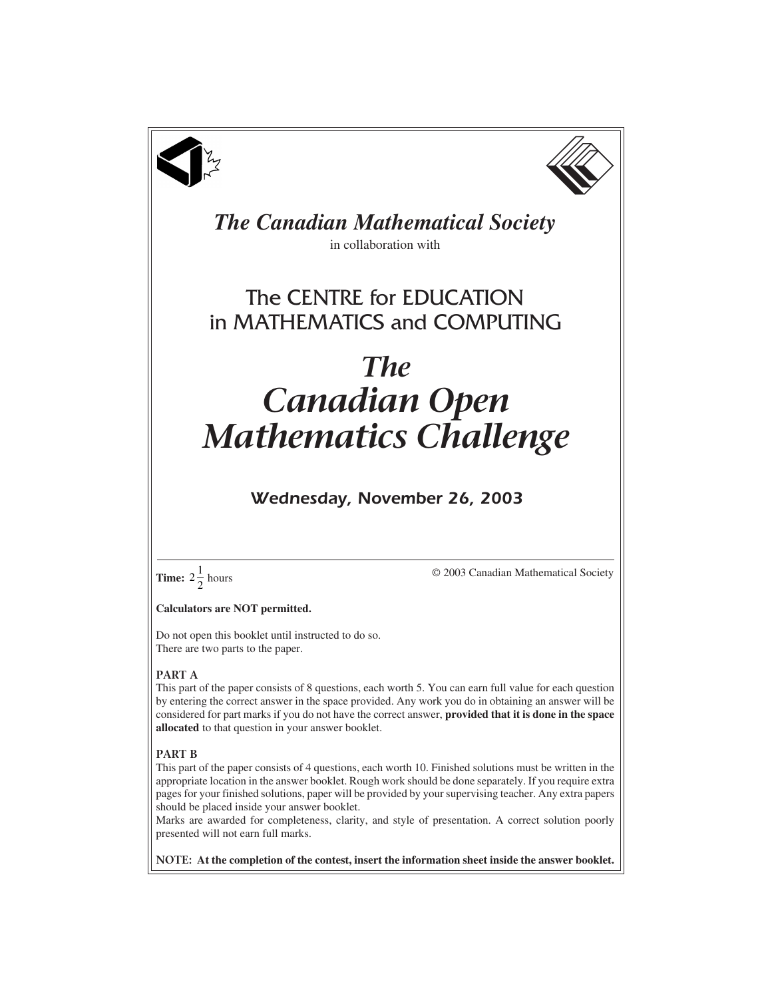



# *The Canadian Mathematical Society*

in collaboration with

## The CENTRE for EDUCATION in MATHEMATICS and COMPUTING

# *The Canadian Open Mathematics Challenge*

### *Wednesday, November 26, 2003*



© 2003 Canadian Mathematical Society

**Calculators are NOT permitted.**

Do not open this booklet until instructed to do so. There are two parts to the paper.

#### **PART A**

This part of the paper consists of 8 questions, each worth 5. You can earn full value for each question by entering the correct answer in the space provided. Any work you do in obtaining an answer will be considered for part marks if you do not have the correct answer, **provided that it is done in the space allocated** to that question in your answer booklet.

#### **PART B**

This part of the paper consists of 4 questions, each worth 10. Finished solutions must be written in the appropriate location in the answer booklet. Rough work should be done separately. If you require extra pages for your finished solutions, paper will be provided by your supervising teacher. Any extra papers should be placed inside your answer booklet.

Marks are awarded for completeness, clarity, and style of presentation. A correct solution poorly presented will not earn full marks.

**NOTE: At the completion of the contest, insert the information sheet inside the answer booklet.**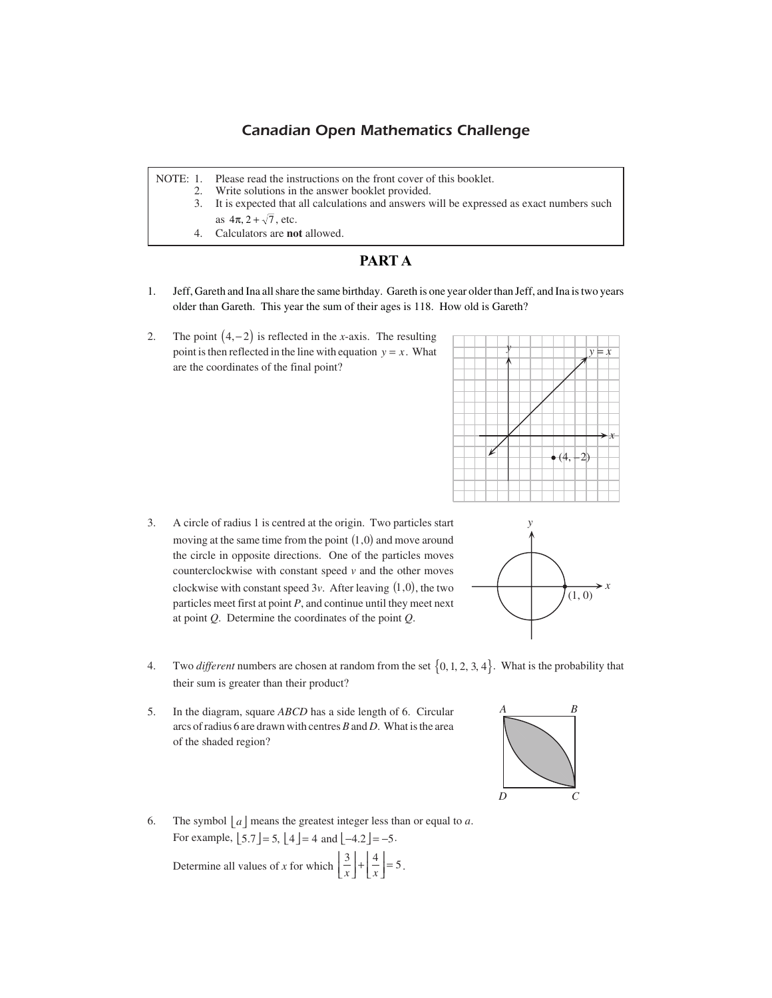#### *Canadian Open Mathematics Challenge*

NOTE: 1. Please read the instructions on the front cover of this booklet.

- 2. Write solutions in the answer booklet provided.
	- 3. It is expected that all calculations and answers will be expressed as exact numbers such as  $4\pi$ ,  $2 + \sqrt{7}$ , etc.
	- 4. Calculators are **not** allowed.

#### **PART A**

- 1. Jeff, Gareth and Ina all share the same birthday. Gareth is one year older than Jeff, and Ina is two years older than Gareth. This year the sum of their ages is 118. How old is Gareth?
- 2. The point  $(4, -2)$  is reflected in the *x*-axis. The resulting point is then reflected in the line with equation  $y = x$ . What are the coordinates of the final point?



3. A circle of radius 1 is centred at the origin. Two particles start moving at the same time from the point  $(1,0)$  and move around the circle in opposite directions. One of the particles moves counterclockwise with constant speed *v* and the other moves clockwise with constant speed  $3v$ . After leaving  $(1,0)$ , the two particles meet first at point *P*, and continue until they meet next at point *Q*. Determine the coordinates of the point *Q*.



- 4. Two *different* numbers are chosen at random from the set  $\{0, 1, 2, 3, 4\}$ . What is the probability that their sum is greater than their product?
- 5. In the diagram, square *ABCD* has a side length of 6. Circular arcs of radius 6 are drawn with centres *B* and *D*. What is the area of the shaded region?



Determine all values of *x* for which  $\left[\frac{3}{x}\right] + \left[\frac{4}{x}\right] = 5$  $\left[\frac{3}{x}\right] + \left[\frac{4}{x}\right] = 5.$ 

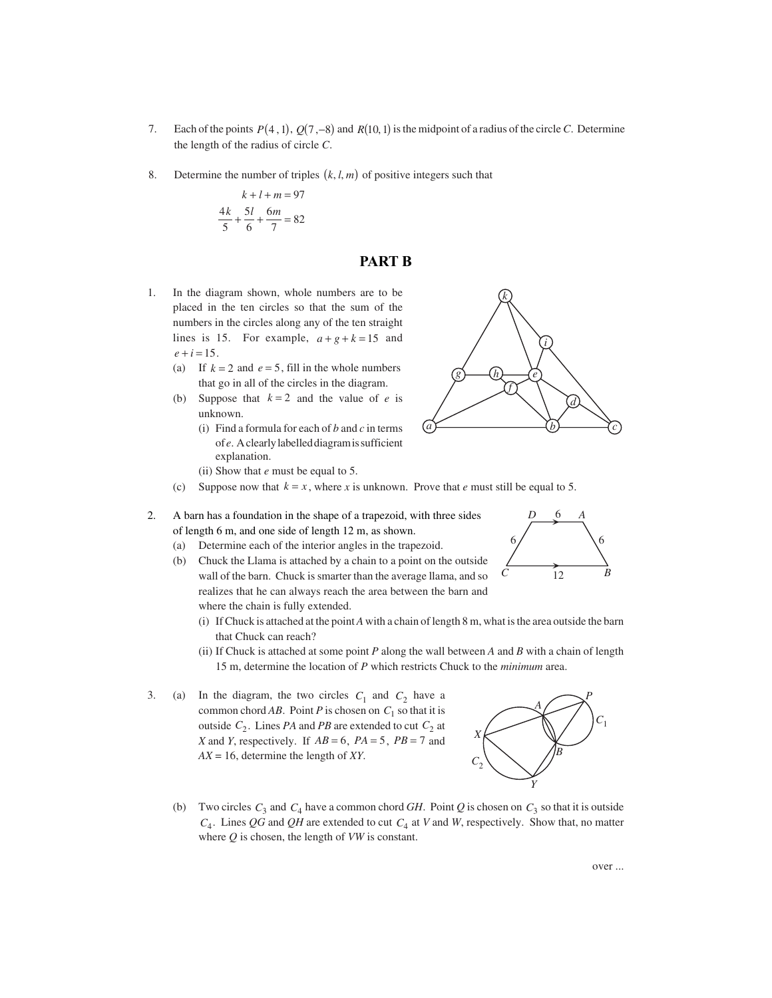- 7. Each of the points  $P(4, 1), Q(7, -8)$  and  $R(10, 1)$  is the midpoint of a radius of the circle *C*. Determine the length of the radius of circle *C*.
- 8. Determine the number of triples  $(k, l, m)$  of positive integers such that

$$
k + l + m = 97
$$
  

$$
\frac{4k}{5} + \frac{5l}{6} + \frac{6m}{7} = 82
$$

#### **PART B**

- 1. In the diagram shown, whole numbers are to be placed in the ten circles so that the sum of the numbers in the circles along any of the ten straight lines is 15. For example,  $a+g+k=15$  and  $e + i = 15$ .
	- (a) If  $k = 2$  and  $e = 5$ , fill in the whole numbers that go in all of the circles in the diagram.
	- (b) Suppose that  $k = 2$  and the value of *e* is unknown.
		- (i) Find a formula for each of *b* and *c* in terms of *e*. A clearly labelled diagram is sufficient explanation.
		- (ii) Show that *e* must be equal to 5.



- 2. A barn has a foundation in the shape of a trapezoid, with three sides of length 6 m, and one side of length 12 m, as shown.
	- (a) Determine each of the interior angles in the trapezoid.
	- (b) Chuck the Llama is attached by a chain to a point on the outside wall of the barn. Chuck is smarter than the average llama, and so realizes that he can always reach the area between the barn and where the chain is fully extended.
		- (i) If Chuck is attached at the point *A* with a chain of length 8 m, what is the area outside the barn that Chuck can reach?
		- (ii) If Chuck is attached at some point *P* along the wall between *A* and *B* with a chain of length 15 m, determine the location of *P* which restricts Chuck to the *minimum* area.
- 3. (a) In the diagram, the two circles  $C_1$  and  $C_2$  have a common chord *AB*. Point *P* is chosen on  $C_1$  so that it is outside  $C_2$ . Lines *PA* and *PB* are extended to cut  $C_2$  at *X* and *Y*, respectively. If  $AB = 6$ ,  $PA = 5$ ,  $PB = 7$  and *AX* = 16, determine the length of *XY*.



(b) Two circles  $C_3$  and  $C_4$  have a common chord *GH*. Point *Q* is chosen on  $C_3$  so that it is outside *C*4. Lines *QG* and *QH* are extended to cut *C*4 at *V* and *W*, respectively. Show that, no matter where *Q* is chosen, the length of *VW* is constant.



*d*

*c*

*i*

*g*) (h) *e* 

*f h*

*k*

*a* <u>b</u>